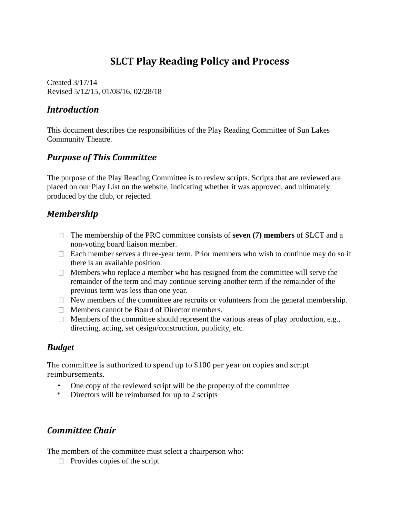# **SLCT Play Reading Policy and Process**

Created 3/17/14 Revised 5/12/15, 01/08/16, 02/28/18

## *Introduction*

This document describes the responsibilities of the Play Reading Committee of Sun Lakes Community Theatre.

# *Purpose of This Committee*

The purpose of the Play Reading Committee is to review scripts. Scripts that are reviewed are placed on our Play List on the website, indicating whether it was approved, and ultimately produced by the club, or rejected.

## *Membership*

- The membership of the PRC committee consists of **seven (7) members** of SLCT and a non-voting board liaison member.
- $\Box$  Each member serves a three-year term. Prior members who wish to continue may do so if there is an available position.
- $\Box$  Members who replace a member who has resigned from the committee will serve the remainder of the term and may continue serving another term if the remainder of the previous term was less than one year.
- $\Box$  New members of the committee are recruits or volunteers from the general membership.
- **Members cannot be Board of Director members.**
- $\Box$  Members of the committee should represent the various areas of play production, e.g., directing, acting, set design/construction, publicity, etc.

#### *Budget*

The committee is authorized to spend up to \$100 per year on copies and script reimbursements.

- One copy of the reviewed script will be the property of the committee
- \* Directors will be reimbursed for up to 2 scripts

# *Committee Chair*

The members of the committee must select a chairperson who:

 $\Box$  Provides copies of the script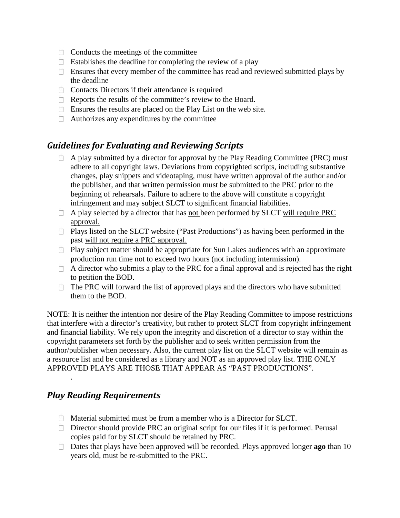- $\Box$  Conducts the meetings of the committee
- $\Box$  Establishes the deadline for completing the review of a play
- Ensures that every member of the committee has read and reviewed submitted plays by the deadline
- $\Box$  Contacts Directors if their attendance is required
- $\Box$  Reports the results of the committee's review to the Board.
- $\Box$  Ensures the results are placed on the Play List on the web site.
- $\Box$  Authorizes any expenditures by the committee

#### *Guidelines for Evaluating and Reviewing Scripts*

- $\Box$  A play submitted by a director for approval by the Play Reading Committee (PRC) must adhere to all copyright laws. Deviations from copyrighted scripts, including substantive changes, play snippets and videotaping, must have written approval of the author and/or the publisher, and that written permission must be submitted to the PRC prior to the beginning of rehearsals. Failure to adhere to the above will constitute a copyright infringement and may subject SLCT to significant financial liabilities.
- $\Box$  A play selected by a director that has not been performed by SLCT will require PRC approval.
- $\Box$  Plays listed on the SLCT website ("Past Productions") as having been performed in the past will not require a PRC approval.
- $\Box$  Play subject matter should be appropriate for Sun Lakes audiences with an approximate production run time not to exceed two hours (not including intermission).
- $\Box$  A director who submits a play to the PRC for a final approval and is rejected has the right to petition the BOD.
- $\Box$  The PRC will forward the list of approved plays and the directors who have submitted them to the BOD.

NOTE: It is neither the intention nor desire of the Play Reading Committee to impose restrictions that interfere with a director's creativity, but rather to protect SLCT from copyright infringement and financial liability. We rely upon the integrity and discretion of a director to stay within the copyright parameters set forth by the publisher and to seek written permission from the author/publisher when necessary. Also, the current play list on the SLCT website will remain as a resource list and be considered as a library and NOT as an approved play list. THE ONLY APPROVED PLAYS ARE THOSE THAT APPEAR AS "PAST PRODUCTIONS".

#### *Play Reading Requirements*

.

- $\Box$  Material submitted must be from a member who is a Director for SLCT.
- $\Box$  Director should provide PRC an original script for our files if it is performed. Perusal copies paid for by SLCT should be retained by PRC.
- Dates that plays have been approved will be recorded. Plays approved longer **ago** than 10 years old*,* must be re-submitted to the PRC.